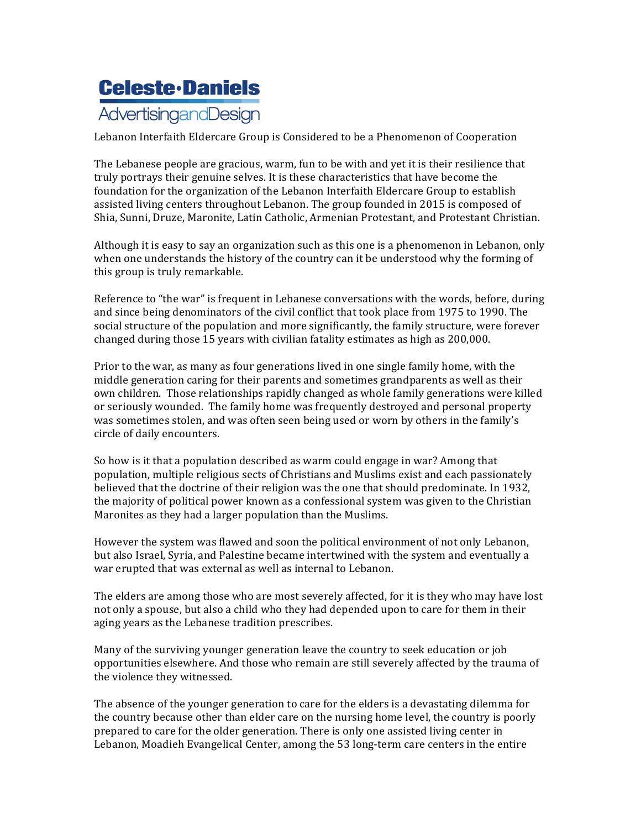## **Celeste·Daniels** AdvertisingandDesign

Lebanon Interfaith Eldercare Group is Considered to be a Phenomenon of Cooperation

The Lebanese people are gracious, warm, fun to be with and yet it is their resilience that truly portrays their genuine selves. It is these characteristics that have become the foundation for the organization of the Lebanon Interfaith Eldercare Group to establish assisted living centers throughout Lebanon. The group founded in 2015 is composed of Shia, Sunni, Druze, Maronite, Latin Catholic, Armenian Protestant, and Protestant Christian.

Although it is easy to say an organization such as this one is a phenomenon in Lebanon, only when one understands the history of the country can it be understood why the forming of this group is truly remarkable.

Reference to "the war" is frequent in Lebanese conversations with the words, before, during and since being denominators of the civil conflict that took place from 1975 to 1990. The social structure of the population and more significantly, the family structure, were forever changed during those 15 years with civilian fatality estimates as high as 200,000.

Prior to the war, as many as four generations lived in one single family home, with the middle generation caring for their parents and sometimes grandparents as well as their own children. Those relationships rapidly changed as whole family generations were killed or seriously wounded. The family home was frequently destroyed and personal property was sometimes stolen, and was often seen being used or worn by others in the family's circle of daily encounters.

So how is it that a population described as warm could engage in war? Among that population, multiple religious sects of Christians and Muslims exist and each passionately believed that the doctrine of their religion was the one that should predominate. In 1932, the majority of political power known as a confessional system was given to the Christian Maronites as they had a larger population than the Muslims.

However the system was flawed and soon the political environment of not only Lebanon. but also Israel, Syria, and Palestine became intertwined with the system and eventually a war erupted that was external as well as internal to Lebanon.

The elders are among those who are most severely affected, for it is they who may have lost not only a spouse, but also a child who they had depended upon to care for them in their aging years as the Lebanese tradition prescribes.

Many of the surviving younger generation leave the country to seek education or job opportunities elsewhere. And those who remain are still severely affected by the trauma of the violence they witnessed.

The absence of the younger generation to care for the elders is a devastating dilemma for the country because other than elder care on the nursing home level, the country is poorly prepared to care for the older generation. There is only one assisted living center in Lebanon, Moadieh Evangelical Center, among the 53 long-term care centers in the entire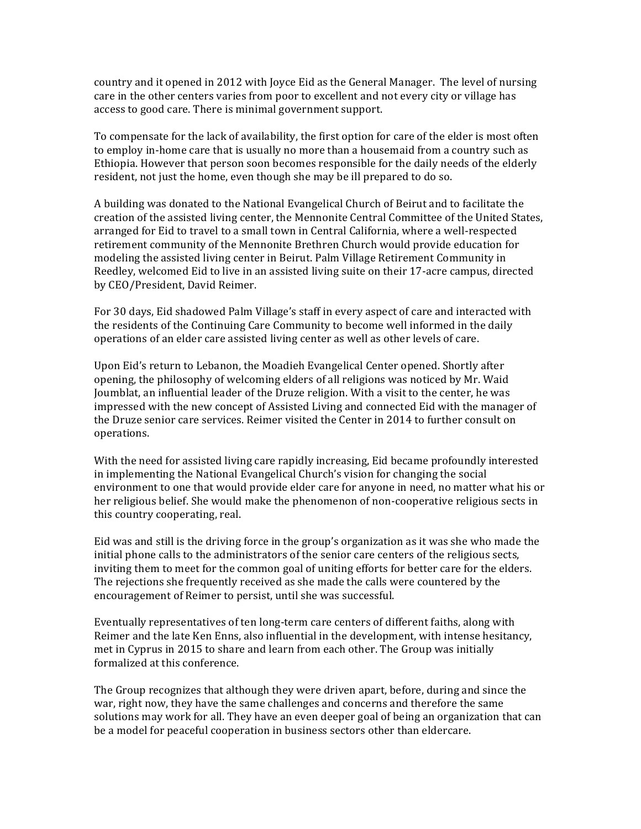country and it opened in 2012 with Joyce Eid as the General Manager. The level of nursing care in the other centers varies from poor to excellent and not every city or village has access to good care. There is minimal government support.

To compensate for the lack of availability, the first option for care of the elder is most often to employ in-home care that is usually no more than a housemaid from a country such as Ethiopia. However that person soon becomes responsible for the daily needs of the elderly resident, not just the home, even though she may be ill prepared to do so.

A building was donated to the National Evangelical Church of Beirut and to facilitate the creation of the assisted living center, the Mennonite Central Committee of the United States, arranged for Eid to travel to a small town in Central California, where a well-respected retirement community of the Mennonite Brethren Church would provide education for modeling the assisted living center in Beirut. Palm Village Retirement Community in Reedley, welcomed Eid to live in an assisted living suite on their 17-acre campus, directed by CEO/President, David Reimer.

For 30 days, Eid shadowed Palm Village's staff in every aspect of care and interacted with the residents of the Continuing Care Community to become well informed in the daily operations of an elder care assisted living center as well as other levels of care.

Upon Eid's return to Lebanon, the Moadieh Evangelical Center opened. Shortly after opening, the philosophy of welcoming elders of all religions was noticed by Mr. Waid Joumblat, an influential leader of the Druze religion. With a visit to the center, he was impressed with the new concept of Assisted Living and connected Eid with the manager of the Druze senior care services. Reimer visited the Center in 2014 to further consult on operations.

With the need for assisted living care rapidly increasing, Eid became profoundly interested in implementing the National Evangelical Church's vision for changing the social environment to one that would provide elder care for anyone in need, no matter what his or her religious belief. She would make the phenomenon of non-cooperative religious sects in this country cooperating, real.

Eid was and still is the driving force in the group's organization as it was she who made the initial phone calls to the administrators of the senior care centers of the religious sects, inviting them to meet for the common goal of uniting efforts for better care for the elders. The rejections she frequently received as she made the calls were countered by the encouragement of Reimer to persist, until she was successful.

Eventually representatives of ten long-term care centers of different faiths, along with Reimer and the late Ken Enns, also influential in the development, with intense hesitancy, met in Cyprus in 2015 to share and learn from each other. The Group was initially formalized at this conference.

The Group recognizes that although they were driven apart, before, during and since the war, right now, they have the same challenges and concerns and therefore the same solutions may work for all. They have an even deeper goal of being an organization that can be a model for peaceful cooperation in business sectors other than eldercare.